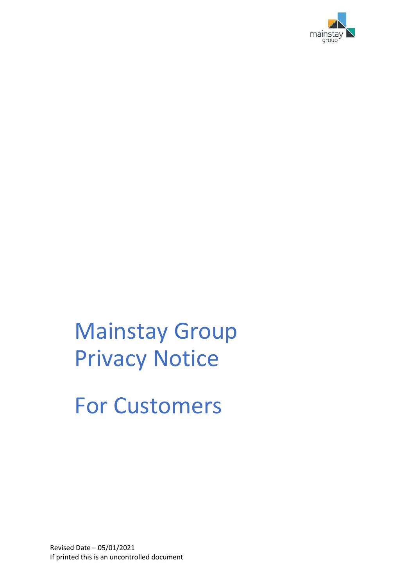

# Mainstay Group Privacy Notice

For Customers

Revised Date – 05/01/2021 If printed this is an uncontrolled document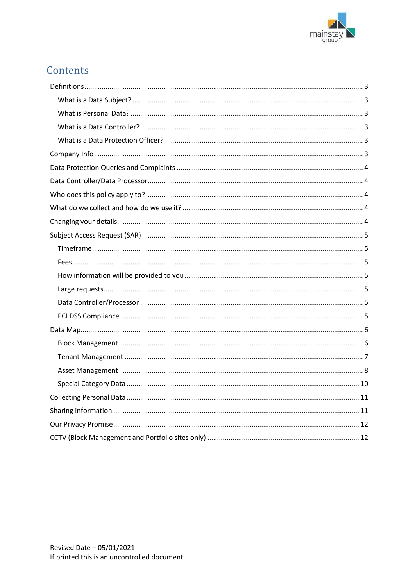

# Contents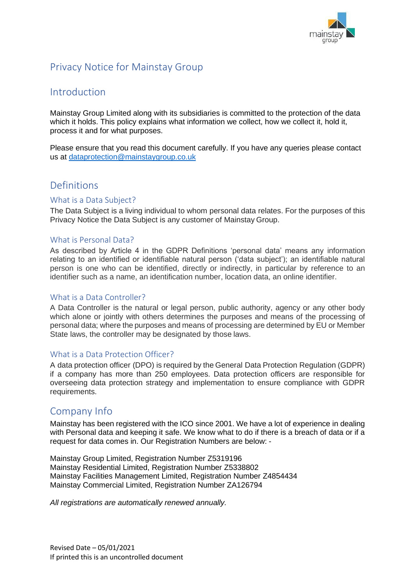

# Privacy Notice for Mainstay Group

## Introduction

Mainstay Group Limited along with its subsidiaries is committed to the protection of the data which it holds. This policy explains what information we collect, how we collect it, hold it, process it and for what purposes.

Please ensure that you read this document carefully. If you have any queries please contact us at [dataprotection@mainstaygroup.co.uk](mailto:dataprotection@mainstaygroup.co.uk)

## <span id="page-2-0"></span>Definitions

#### <span id="page-2-1"></span>What is a Data Subject?

The Data Subject is a living individual to whom personal data relates. For the purposes of this Privacy Notice the Data Subject is any customer of Mainstay Group.

#### <span id="page-2-2"></span>What is Personal Data?

As described by Article 4 in the GDPR Definitions 'personal data' means any information relating to an identified or identifiable natural person ('data subject'); an identifiable natural person is one who can be identified, directly or indirectly, in particular by reference to an identifier such as a name, an identification number, location data, an online identifier.

#### <span id="page-2-3"></span>What is a Data Controller?

A Data Controller is the natural or legal person, public authority, agency or any other body which alone or jointly with others determines the purposes and means of the processing of personal data; where the purposes and means of processing are determined by EU or Member State laws, the controller may be designated by those laws.

#### <span id="page-2-4"></span>What is a Data Protection Officer?

A data protection officer (DPO) is required by the General Data Protection Regulation (GDPR) if a company has more than 250 employees. Data protection officers are responsible for overseeing data protection strategy and implementation to ensure compliance with GDPR requirements.

## <span id="page-2-5"></span>Company Info

Mainstay has been registered with the ICO since 2001. We have a lot of experience in dealing with Personal data and keeping it safe. We know what to do if there is a breach of data or if a request for data comes in. Our Registration Numbers are below: -

Mainstay Group Limited, Registration Number Z5319196 Mainstay Residential Limited, Registration Number Z5338802 Mainstay Facilities Management Limited, Registration Number Z4854434 Mainstay Commercial Limited, Registration Number ZA126794

*All registrations are automatically renewed annually.*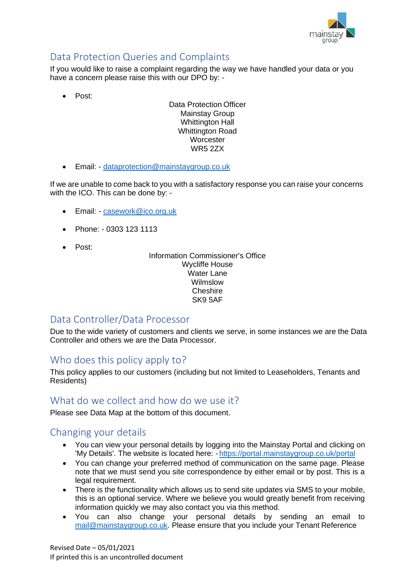

# <span id="page-3-0"></span>Data Protection Queries and Complaints

If you would like to raise a complaint regarding the way we have handled your data or you have a concern please raise this with our DPO by: -

• Post:

Data Protection Officer Mainstay Group Whittington Hall Whittington Road **Worcester** WR5 2ZX

• Email: - [dataprotection@mainstaygroup.co.uk](mailto:dataprotection@mainstaygroup.co.uk)

If we are unable to come back to you with a satisfactory response you can raise your concerns with the ICO. This can be done by: -

- Email: [casework@ico.org.uk](mailto:casework@ico.org.uk)
- Phone: 0303 123 1113
- Post:

#### Information Commissioner's Office Wycliffe House Water Lane Wilmslow Cheshire SK9 5AF

## <span id="page-3-1"></span>Data Controller/Data Processor

Due to the wide variety of customers and clients we serve, in some instances we are the Data Controller and others we are the Data Processor.

## <span id="page-3-2"></span>Who does this policy apply to?

This policy applies to our customers (including but not limited to Leaseholders, Tenants and Residents)

## <span id="page-3-3"></span>What do we collect and how do we use it?

Please see Data Map at the bottom of this document.

## <span id="page-3-4"></span>Changing your details

- You can view your personal details by logging into the Mainstay Portal and clicking on 'My Details'. The website is located here: - <https://portal.mainstaygroup.co.uk/portal>
- You can change your preferred method of communication on the same page. Please note that we must send you site correspondence by either email or by post. This is a legal requirement.
- There is the functionality which allows us to send site updates via SMS to your mobile, this is an optional service. Where we believe you would greatly benefit from receiving information quickly we may also contact you via this method.
- You can also change your personal details by sending an email t[o](mailto:mail@mainstaygroup.co.uk) [mail@mainstaygroup.co.uk.](mailto:mail@mainstaygroup.co.uk) Please ensure that you include your Tenant Reference

Revised Date – 05/01/2021 If printed this is an uncontrolled document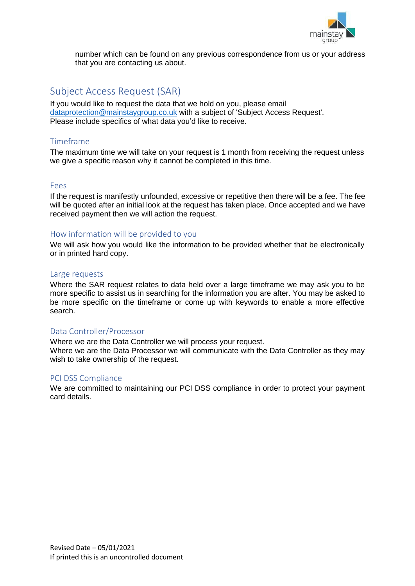

number which can be found on any previous correspondence from us or your address that you are contacting us about.

## <span id="page-4-0"></span>Subject Access Request (SAR)

If you would like to request the data that we hold on you, please email [dataprotection@mainstaygroup.co.uk](mailto:dataprotection@mainstaygroup.co.uk) with a subject of 'Subject Access Request'. Please include specifics of what data you'd like to receive.

#### <span id="page-4-1"></span>Timeframe

The maximum time we will take on your request is 1 month from receiving the request unless we give a specific reason why it cannot be completed in this time.

#### <span id="page-4-2"></span>Fees

If the request is manifestly unfounded, excessive or repetitive then there will be a fee. The fee will be quoted after an initial look at the request has taken place. Once accepted and we have received payment then we will action the request.

#### <span id="page-4-3"></span>How information will be provided to you

We will ask how you would like the information to be provided whether that be electronically or in printed hard copy.

#### <span id="page-4-4"></span>Large requests

Where the SAR request relates to data held over a large timeframe we may ask you to be more specific to assist us in searching for the information you are after. You may be asked to be more specific on the timeframe or come up with keywords to enable a more effective search.

#### <span id="page-4-5"></span>Data Controller/Processor

Where we are the Data Controller we will process your request.

Where we are the Data Processor we will communicate with the Data Controller as they may wish to take ownership of the request.

#### <span id="page-4-6"></span>PCI DSS Compliance

We are committed to maintaining our PCI DSS compliance in order to protect your payment card details.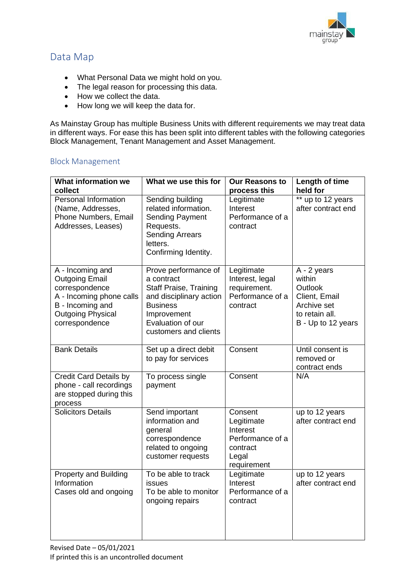

## <span id="page-5-0"></span>Data Map

- What Personal Data we might hold on you.
- The legal reason for processing this data.
- How we collect the data.
- How long we will keep the data for.

As Mainstay Group has multiple Business Units with different requirements we may treat data in different ways. For ease this has been split into different tables with the following categories Block Management, Tenant Management and Asset Management.

#### <span id="page-5-1"></span>Block Management

| <b>What information we</b><br>collect                                                                                                                     | What we use this for                                                                                                                                                           | <b>Our Reasons to</b><br>process this                                                     | Length of time<br>held for                                                                               |
|-----------------------------------------------------------------------------------------------------------------------------------------------------------|--------------------------------------------------------------------------------------------------------------------------------------------------------------------------------|-------------------------------------------------------------------------------------------|----------------------------------------------------------------------------------------------------------|
| Personal Information<br>(Name, Addresses,<br>Phone Numbers, Email<br>Addresses, Leases)                                                                   | Sending building<br>related information.<br><b>Sending Payment</b><br>Requests.<br><b>Sending Arrears</b><br>letters.<br>Confirming Identity.                                  | Legitimate<br>Interest<br>Performance of a<br>contract                                    | ** up to 12 years<br>after contract end                                                                  |
| A - Incoming and<br><b>Outgoing Email</b><br>correspondence<br>A - Incoming phone calls<br>B - Incoming and<br><b>Outgoing Physical</b><br>correspondence | Prove performance of<br>a contract<br><b>Staff Praise, Training</b><br>and disciplinary action<br><b>Business</b><br>Improvement<br>Evaluation of our<br>customers and clients | Legitimate<br>Interest, legal<br>requirement.<br>Performance of a<br>contract             | A - 2 years<br>within<br>Outlook<br>Client, Email<br>Archive set<br>to retain all.<br>B - Up to 12 years |
| <b>Bank Details</b>                                                                                                                                       | Set up a direct debit<br>to pay for services                                                                                                                                   | Consent                                                                                   | Until consent is<br>removed or<br>contract ends                                                          |
| <b>Credit Card Details by</b><br>phone - call recordings<br>are stopped during this<br>process                                                            | To process single<br>payment                                                                                                                                                   | Consent                                                                                   | N/A                                                                                                      |
| <b>Solicitors Details</b>                                                                                                                                 | Send important<br>information and<br>general<br>correspondence<br>related to ongoing<br>customer requests                                                                      | Consent<br>Legitimate<br>Interest<br>Performance of a<br>contract<br>Legal<br>requirement | up to 12 years<br>after contract end                                                                     |
| <b>Property and Building</b><br>Information<br>Cases old and ongoing                                                                                      | To be able to track<br>issues<br>To be able to monitor<br>ongoing repairs                                                                                                      | Legitimate<br>Interest<br>Performance of a<br>contract                                    | up to 12 years<br>after contract end                                                                     |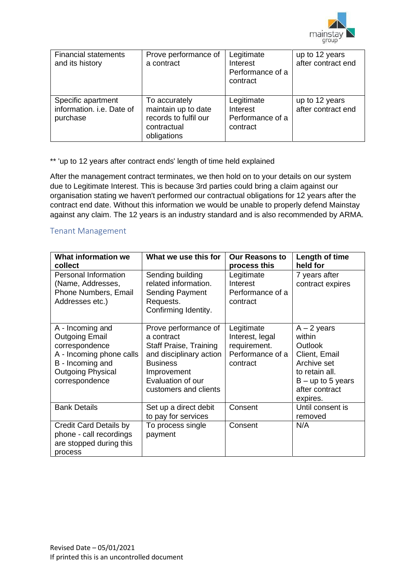

| <b>Financial statements</b><br>and its history              | Prove performance of<br>a contract                                                          | Legitimate<br>Interest<br>Performance of a<br>contract | up to 12 years<br>after contract end |
|-------------------------------------------------------------|---------------------------------------------------------------------------------------------|--------------------------------------------------------|--------------------------------------|
| Specific apartment<br>information. i.e. Date of<br>purchase | To accurately<br>maintain up to date<br>records to fulfil our<br>contractual<br>obligations | Legitimate<br>Interest<br>Performance of a<br>contract | up to 12 years<br>after contract end |

\*\* 'up to 12 years after contract ends' length of time held explained

After the management contract terminates, we then hold on to your details on our system due to Legitimate Interest. This is because 3rd parties could bring a claim against our organisation stating we haven't performed our contractual obligations for 12 years after the contract end date. Without this information we would be unable to properly defend Mainstay against any claim. The 12 years is an industry standard and is also recommended by ARMA.

#### <span id="page-6-0"></span>Tenant Management

| <b>What information we</b><br>collect                                                                                                                     | What we use this for                                                                                                                                                    | <b>Our Reasons to</b><br>process this                                         | Length of time<br>held for                                                                                                                       |
|-----------------------------------------------------------------------------------------------------------------------------------------------------------|-------------------------------------------------------------------------------------------------------------------------------------------------------------------------|-------------------------------------------------------------------------------|--------------------------------------------------------------------------------------------------------------------------------------------------|
| <b>Personal Information</b><br>(Name, Addresses,<br><b>Phone Numbers, Email</b><br>Addresses etc.)                                                        | Sending building<br>related information.<br><b>Sending Payment</b><br>Requests.<br>Confirming Identity.                                                                 | Legitimate<br>Interest<br>Performance of a<br>contract                        | 7 years after<br>contract expires                                                                                                                |
| A - Incoming and<br><b>Outgoing Email</b><br>correspondence<br>A - Incoming phone calls<br>B - Incoming and<br><b>Outgoing Physical</b><br>correspondence | Prove performance of<br>a contract<br>Staff Praise, Training<br>and disciplinary action<br><b>Business</b><br>Improvement<br>Evaluation of our<br>customers and clients | Legitimate<br>Interest, legal<br>requirement.<br>Performance of a<br>contract | $A - 2$ years<br>within<br><b>Outlook</b><br>Client, Email<br>Archive set<br>to retain all.<br>$B - up to 5 years$<br>after contract<br>expires. |
| <b>Bank Details</b>                                                                                                                                       | Set up a direct debit<br>to pay for services                                                                                                                            | Consent                                                                       | Until consent is<br>removed                                                                                                                      |
| <b>Credit Card Details by</b><br>phone - call recordings<br>are stopped during this<br>process                                                            | To process single<br>payment                                                                                                                                            | Consent                                                                       | N/A                                                                                                                                              |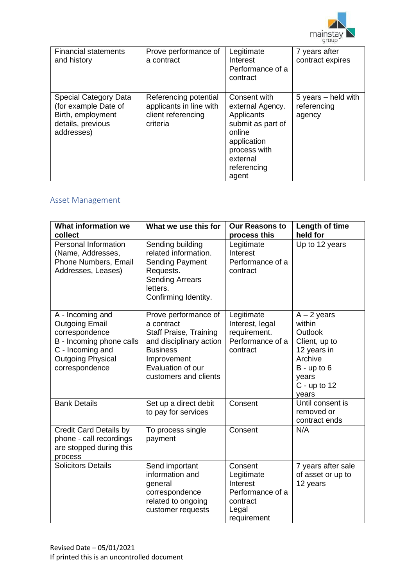

| <b>Financial statements</b><br>and history                                                                   | Prove performance of<br>a contract                                                 | Legitimate<br>Interest<br>Performance of a<br>contract                                                                                           | 7 years after<br>contract expires                |
|--------------------------------------------------------------------------------------------------------------|------------------------------------------------------------------------------------|--------------------------------------------------------------------------------------------------------------------------------------------------|--------------------------------------------------|
| <b>Special Category Data</b><br>(for example Date of<br>Birth, employment<br>details, previous<br>addresses) | Referencing potential<br>applicants in line with<br>client referencing<br>criteria | Consent with<br>external Agency.<br>Applicants<br>submit as part of<br>online<br>application<br>process with<br>external<br>referencing<br>agent | $5$ years $-$ held with<br>referencing<br>agency |

## <span id="page-7-0"></span>Asset Management

| <b>What information we</b><br>collect                                                                                                                     | What we use this for                                                                                                                                                           | <b>Our Reasons to</b><br>process this                                                     | Length of time<br>held for                                                                                                         |
|-----------------------------------------------------------------------------------------------------------------------------------------------------------|--------------------------------------------------------------------------------------------------------------------------------------------------------------------------------|-------------------------------------------------------------------------------------------|------------------------------------------------------------------------------------------------------------------------------------|
| <b>Personal Information</b><br>(Name, Addresses,<br>Phone Numbers, Email<br>Addresses, Leases)                                                            | Sending building<br>related information.<br><b>Sending Payment</b><br>Requests.<br><b>Sending Arrears</b><br>letters.<br>Confirming Identity.                                  | Legitimate<br>Interest<br>Performance of a<br>contract                                    | Up to 12 years                                                                                                                     |
| A - Incoming and<br><b>Outgoing Email</b><br>correspondence<br>B - Incoming phone calls<br>C - Incoming and<br><b>Outgoing Physical</b><br>correspondence | Prove performance of<br>a contract<br><b>Staff Praise, Training</b><br>and disciplinary action<br><b>Business</b><br>Improvement<br>Evaluation of our<br>customers and clients | Legitimate<br>Interest, legal<br>requirement.<br>Performance of a<br>contract             | $A - 2$ years<br>within<br>Outlook<br>Client, up to<br>12 years in<br>Archive<br>$B - up to 6$<br>years<br>$C$ - up to 12<br>years |
| <b>Bank Details</b>                                                                                                                                       | Set up a direct debit<br>to pay for services                                                                                                                                   | Consent                                                                                   | Until consent is<br>removed or<br>contract ends                                                                                    |
| <b>Credit Card Details by</b><br>phone - call recordings<br>are stopped during this<br>process                                                            | To process single<br>payment                                                                                                                                                   | Consent                                                                                   | N/A                                                                                                                                |
| <b>Solicitors Details</b>                                                                                                                                 | Send important<br>information and<br>general<br>correspondence<br>related to ongoing<br>customer requests                                                                      | Consent<br>Legitimate<br>Interest<br>Performance of a<br>contract<br>Legal<br>requirement | 7 years after sale<br>of asset or up to<br>12 years                                                                                |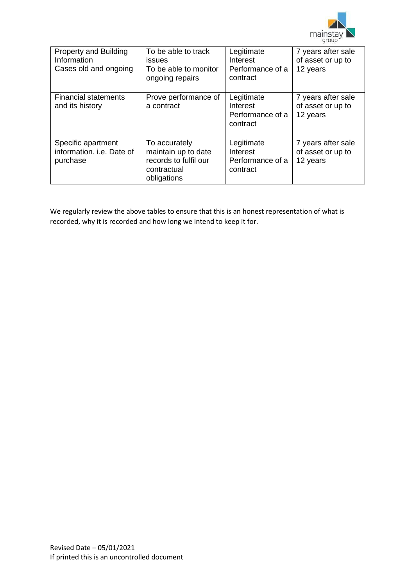

| <b>Property and Building</b><br>Information<br>Cases old and ongoing | To be able to track<br><i>issues</i><br>To be able to monitor<br>ongoing repairs            | Legitimate<br>Interest<br>Performance of a<br>contract | 7 years after sale<br>of asset or up to<br>12 years |
|----------------------------------------------------------------------|---------------------------------------------------------------------------------------------|--------------------------------------------------------|-----------------------------------------------------|
| <b>Financial statements</b><br>and its history                       | Prove performance of<br>a contract                                                          | Legitimate<br>Interest<br>Performance of a<br>contract | 7 years after sale<br>of asset or up to<br>12 years |
| Specific apartment<br>information, <i>i.e.</i> Date of<br>purchase   | To accurately<br>maintain up to date<br>records to fulfil our<br>contractual<br>obligations | Legitimate<br>Interest<br>Performance of a<br>contract | 7 years after sale<br>of asset or up to<br>12 years |

We regularly review the above tables to ensure that this is an honest representation of what is recorded, why it is recorded and how long we intend to keep it for.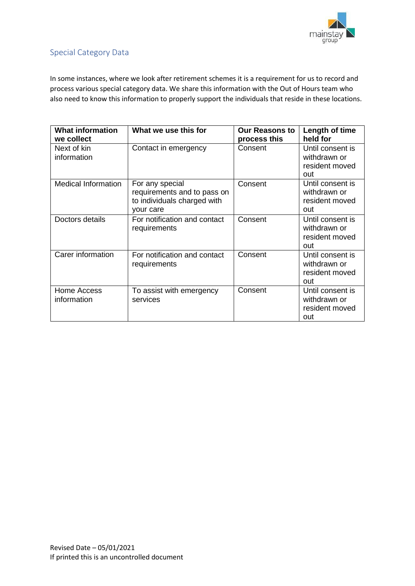

## <span id="page-9-0"></span>Special Category Data

In some instances, where we look after retirement schemes it is a requirement for us to record and process various special category data. We share this information with the Out of Hours team who also need to know this information to properly support the individuals that reside in these locations.

| <b>What information</b><br>we collect | What we use this for                                                                       | <b>Our Reasons to</b><br>process this | Length of time<br>held for                                |
|---------------------------------------|--------------------------------------------------------------------------------------------|---------------------------------------|-----------------------------------------------------------|
| Next of kin<br>information            | Contact in emergency                                                                       | Consent                               | Until consent is<br>withdrawn or<br>resident moved<br>out |
| <b>Medical Information</b>            | For any special<br>requirements and to pass on<br>to individuals charged with<br>your care | Consent                               | Until consent is<br>withdrawn or<br>resident moved<br>out |
| Doctors details                       | For notification and contact<br>requirements                                               | Consent                               | Until consent is<br>withdrawn or<br>resident moved<br>out |
| Carer information                     | For notification and contact<br>requirements                                               | Consent                               | Until consent is<br>withdrawn or<br>resident moved<br>out |
| Home Access<br>information            | To assist with emergency<br>services                                                       | Consent                               | Until consent is<br>withdrawn or<br>resident moved<br>out |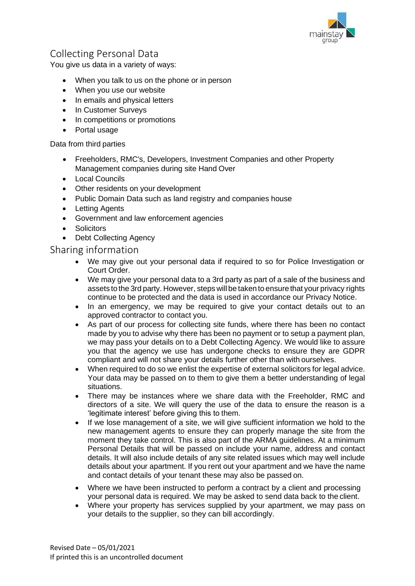

## <span id="page-10-0"></span>Collecting Personal Data

You give us data in a variety of ways:

- When you talk to us on the phone or in person
- When you use our website
- In emails and physical letters
- In Customer Surveys
- In competitions or promotions
- Portal usage

#### Data from third parties

- Freeholders, RMC's, Developers, Investment Companies and other Property Management companies during site Hand Over
- Local Councils
- Other residents on your development
- Public Domain Data such as land registry and companies house
- Letting Agents
- Government and law enforcement agencies
- **Solicitors**
- **Debt Collecting Agency**

#### <span id="page-10-1"></span>Sharing information

- We may give out your personal data if required to so for Police Investigation or Court Order.
- We may give your personal data to a 3rd party as part of a sale of the business and assets to the 3rd party. However, steps will be taken to ensure that your privacy rights continue to be protected and the data is used in accordance our Privacy Notice.
- In an emergency, we may be required to give your contact details out to an approved contractor to contact you.
- As part of our process for collecting site funds, where there has been no contact made by you to advise why there has been no payment or to setup a payment plan, we may pass your details on to a Debt Collecting Agency. We would like to assure you that the agency we use has undergone checks to ensure they are GDPR compliant and will not share your details further other than with ourselves.
- When required to do so we enlist the expertise of external solicitors for legal advice. Your data may be passed on to them to give them a better understanding of legal situations.
- There may be instances where we share data with the Freeholder, RMC and directors of a site. We will query the use of the data to ensure the reason is a 'legitimate interest' before giving this to them.
- If we lose management of a site, we will give sufficient information we hold to the new management agents to ensure they can properly manage the site from the moment they take control. This is also part of the ARMA guidelines. At a minimum Personal Details that will be passed on include your name, address and contact details. It will also include details of any site related issues which may well include details about your apartment. If you rent out your apartment and we have the name and contact details of your tenant these may also be passed on.
- Where we have been instructed to perform a contract by a client and processing your personal data is required. We may be asked to send data back to the client.
- Where your property has services supplied by your apartment, we may pass on your details to the supplier, so they can bill accordingly.